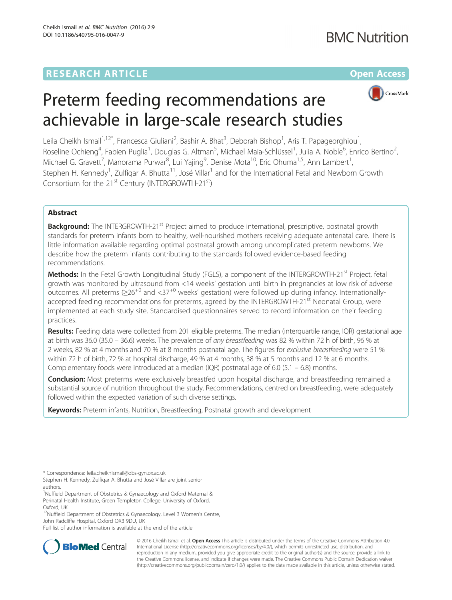# **RESEARCH ARTICLE Example 2014 12:30 The Community Community Community Community Community Community Community**



# Preterm feeding recommendations are achievable in large-scale research studies

Leila Cheikh Ismail<sup>1,12\*</sup>, Francesca Giuliani<sup>2</sup>, Bashir A. Bhat<sup>3</sup>, Deborah Bishop<sup>1</sup>, Aris T. Papageorghiou<sup>1</sup> , Roseline Ochieng<sup>4</sup>, Fabien Puglia<sup>1</sup>, Douglas G. Altman<sup>5</sup>, Michael Maia-Schlüssel<sup>1</sup>, Julia A. Noble<sup>6</sup>, Enrico Bertino<sup>2</sup> , Michael G. Gravett<sup>7</sup>, Manorama Purwar<sup>8</sup>, Lui Yajing<sup>9</sup>, Denise Mota<sup>10</sup>, Eric Ohuma<sup>1,5</sup>, Ann Lambert<sup>1</sup> , Stephen H. Kennedy<sup>1</sup>, Zulfiqar A. Bhutta<sup>11</sup>, José Villar<sup>1</sup> and for the International Fetal and Newborn Growth Consortium for the 21<sup>st</sup> Century (INTERGROWTH-21<sup>st</sup>)

# Abstract

**Background:** The INTERGROWTH-21<sup>st</sup> Project aimed to produce international, prescriptive, postnatal growth standards for preterm infants born to healthy, well-nourished mothers receiving adequate antenatal care. There is little information available regarding optimal postnatal growth among uncomplicated preterm newborns. We describe how the preterm infants contributing to the standards followed evidence-based feeding recommendations.

Methods: In the Fetal Growth Longitudinal Study (FGLS), a component of the INTERGROWTH-21<sup>st</sup> Project, fetal growth was monitored by ultrasound from <14 weeks' gestation until birth in pregnancies at low risk of adverse outcomes. All preterms (≥26+0 and <37+0 weeks' gestation) were followed up during infancy. Internationallyaccepted feeding recommendations for preterms, agreed by the INTERGROWTH-21<sup>st</sup> Neonatal Group, were implemented at each study site. Standardised questionnaires served to record information on their feeding practices.

Results: Feeding data were collected from 201 eligible preterms. The median (interquartile range, IQR) gestational age at birth was 36.0 (35.0 – 36.6) weeks. The prevalence of any breastfeeding was 82 % within 72 h of birth, 96 % at 2 weeks, 82 % at 4 months and 70 % at 8 months postnatal age. The figures for exclusive breastfeeding were 51 % within 72 h of birth, 72 % at hospital discharge, 49 % at 4 months, 38 % at 5 months and 12 % at 6 months. Complementary foods were introduced at a median (IQR) postnatal age of 6.0 (5.1 – 6.8) months.

**Conclusion:** Most preterms were exclusively breastfed upon hospital discharge, and breastfeeding remained a substantial source of nutrition throughout the study. Recommendations, centred on breastfeeding, were adequately followed within the expected variation of such diverse settings.

Keywords: Preterm infants, Nutrition, Breastfeeding, Postnatal growth and development

authors.

<sup>12</sup>Nuffield Department of Obstetrics & Gynaecology, Level 3 Women's Centre, John Radcliffe Hospital, Oxford OX3 9DU, UK

Full list of author information is available at the end of the article



© 2016 Cheikh Ismail et al. Open Access This article is distributed under the terms of the Creative Commons Attribution 4.0 International License [\(http://creativecommons.org/licenses/by/4.0/](http://creativecommons.org/licenses/by/4.0/)), which permits unrestricted use, distribution, and reproduction in any medium, provided you give appropriate credit to the original author(s) and the source, provide a link to the Creative Commons license, and indicate if changes were made. The Creative Commons Public Domain Dedication waiver [\(http://creativecommons.org/publicdomain/zero/1.0/](http://creativecommons.org/publicdomain/zero/1.0/)) applies to the data made available in this article, unless otherwise stated.

<sup>\*</sup> Correspondence: [leila.cheikhismail@obs-gyn.ox.ac.uk](mailto:leila.cheikhismail@obs-gyn.ox.ac.uk) Stephen H. Kennedy, Zulfiqar A. Bhutta and José Villar are joint senior

<sup>&</sup>lt;sup>1</sup>Nuffield Department of Obstetrics & Gynaecology and Oxford Maternal & Perinatal Health Institute, Green Templeton College, University of Oxford, Oxford, UK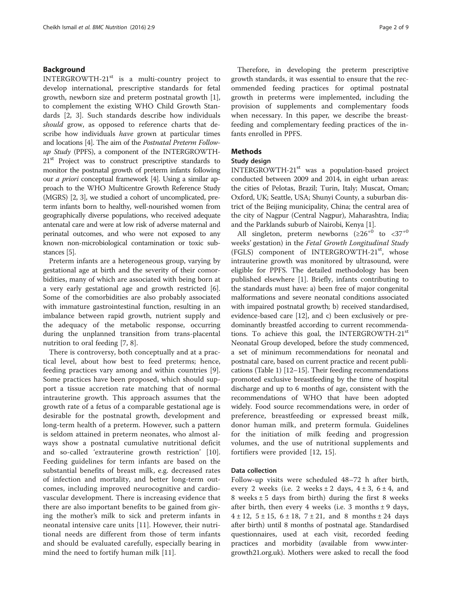#### Background

INTERGROWTH- $21<sup>st</sup>$  is a multi-country project to develop international, prescriptive standards for fetal growth, newborn size and preterm postnatal growth [\[1](#page-8-0)], to complement the existing WHO Child Growth Standards [\[2](#page-8-0), [3\]](#page-8-0). Such standards describe how individuals should grow, as opposed to reference charts that describe how individuals *have* grown at particular times and locations [[4](#page-8-0)]. The aim of the Postnatal Preterm Followup Study (PPFS), a component of the INTERGROWTH-21<sup>st</sup> Project was to construct prescriptive standards to monitor the postnatal growth of preterm infants following our a priori conceptual framework [\[4](#page-8-0)]. Using a similar approach to the WHO Multicentre Growth Reference Study (MGRS) [[2](#page-8-0), [3](#page-8-0)], we studied a cohort of uncomplicated, preterm infants born to healthy, well-nourished women from geographically diverse populations, who received adequate antenatal care and were at low risk of adverse maternal and perinatal outcomes, and who were not exposed to any known non-microbiological contamination or toxic substances [\[5](#page-8-0)].

Preterm infants are a heterogeneous group, varying by gestational age at birth and the severity of their comorbidities, many of which are associated with being born at a very early gestational age and growth restricted [\[6](#page-8-0)]. Some of the comorbidities are also probably associated with immature gastrointestinal function, resulting in an imbalance between rapid growth, nutrient supply and the adequacy of the metabolic response, occurring during the unplanned transition from trans-placental nutrition to oral feeding [[7, 8\]](#page-8-0).

There is controversy, both conceptually and at a practical level, about how best to feed preterms; hence, feeding practices vary among and within countries [\[9](#page-8-0)]. Some practices have been proposed, which should support a tissue accretion rate matching that of normal intrauterine growth. This approach assumes that the growth rate of a fetus of a comparable gestational age is desirable for the postnatal growth, development and long-term health of a preterm. However, such a pattern is seldom attained in preterm neonates, who almost always show a postnatal cumulative nutritional deficit and so-called 'extrauterine growth restriction' [\[10](#page-8-0)]. Feeding guidelines for term infants are based on the substantial benefits of breast milk, e.g. decreased rates of infection and mortality, and better long-term outcomes, including improved neurocognitive and cardiovascular development. There is increasing evidence that there are also important benefits to be gained from giving the mother's milk to sick and preterm infants in neonatal intensive care units [\[11](#page-8-0)]. However, their nutritional needs are different from those of term infants and should be evaluated carefully, especially bearing in mind the need to fortify human milk [[11\]](#page-8-0).

Therefore, in developing the preterm prescriptive growth standards, it was essential to ensure that the recommended feeding practices for optimal postnatal growth in preterms were implemented, including the provision of supplements and complementary foods when necessary. In this paper, we describe the breastfeeding and complementary feeding practices of the infants enrolled in PPFS.

# **Methods**

## Study design

INTERGROWTH-21<sup>st</sup> was a population-based project conducted between 2009 and 2014, in eight urban areas: the cities of Pelotas, Brazil; Turin, Italy; Muscat, Oman; Oxford, UK; Seattle, USA; Shunyi County, a suburban district of the Beijing municipality, China; the central area of the city of Nagpur (Central Nagpur), Maharashtra, India; and the Parklands suburb of Nairobi, Kenya [\[1](#page-8-0)].

All singleton, preterm newborns  $(226^{+0}$  to  $< 37^{+0}$ weeks' gestation) in the Fetal Growth Longitudinal Study (FGLS) component of INTERGROWTH-21<sup>st</sup>, whose intrauterine growth was monitored by ultrasound, were eligible for PPFS. The detailed methodology has been published elsewhere [[1\]](#page-8-0). Briefly, infants contributing to the standards must have: a) been free of major congenital malformations and severe neonatal conditions associated with impaired postnatal growth; b) received standardised, evidence-based care [[12](#page-8-0)], and c) been exclusively or predominantly breastfed according to current recommendations. To achieve this goal, the INTERGROWTH-21 $^{\rm st}$ Neonatal Group developed, before the study commenced, a set of minimum recommendations for neonatal and postnatal care, based on current practice and recent publications (Table [1](#page-2-0)) [\[12](#page-8-0)–[15](#page-8-0)]. Their feeding recommendations promoted exclusive breastfeeding by the time of hospital discharge and up to 6 months of age, consistent with the recommendations of WHO that have been adopted widely. Food source recommendations were, in order of preference, breastfeeding or expressed breast milk, donor human milk, and preterm formula. Guidelines for the initiation of milk feeding and progression volumes, and the use of nutritional supplements and fortifiers were provided [[12, 15\]](#page-8-0).

#### Data collection

Follow-up visits were scheduled 48–72 h after birth, every 2 weeks (i.e. 2 weeks  $\pm 2$  days,  $4 \pm 3$ ,  $6 \pm 4$ , and 8 weeks  $\pm$  5 days from birth) during the first 8 weeks after birth, then every 4 weeks (i.e. 3 months  $\pm$  9 days,  $4 \pm 12$ ,  $5 \pm 15$ ,  $6 \pm 18$ ,  $7 \pm 21$ , and 8 months  $\pm 24$  days after birth) until 8 months of postnatal age. Standardised questionnaires, used at each visit, recorded feeding practices and morbidity (available from [www.inter](http://www.intergrowth21.org.uk)[growth21.org.uk](http://www.intergrowth21.org.uk)). Mothers were asked to recall the food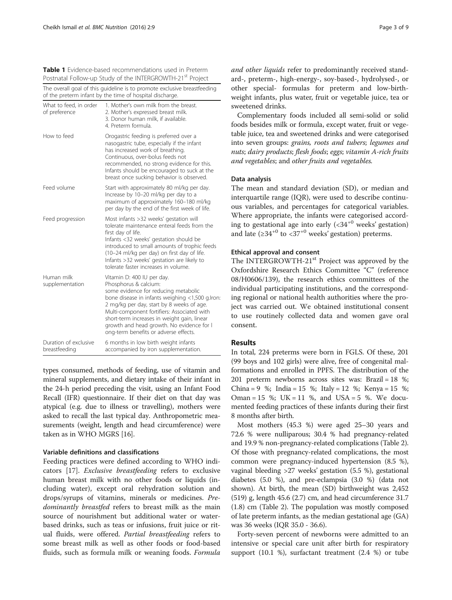<span id="page-2-0"></span>Table 1 Evidence-based recommendations used in Preterm Postnatal Follow-up Study of the INTERGROWTH-21<sup>st</sup> Project

The overall goal of this guideline is to promote exclusive breastfeeding of the preterm infant by the time of hospital discharge.

| What to feed, in order<br>of preference | 1. Mother's own milk from the breast.<br>2. Mother's expressed breast milk.<br>3. Donor human milk, if available.<br>4. Preterm formula.                                                                                                                                                                                                                                        |
|-----------------------------------------|---------------------------------------------------------------------------------------------------------------------------------------------------------------------------------------------------------------------------------------------------------------------------------------------------------------------------------------------------------------------------------|
| How to feed                             | Orogastric feeding is preferred over a<br>nasogastric tube, especially if the infant<br>has increased work of breathing.<br>Continuous, over-bolus feeds not<br>recommended, no strong evidence for this.<br>Infants should be encouraged to suck at the<br>breast once sucking behavior is observed.                                                                           |
| Feed volume                             | Start with approximately 80 ml/kg per day.<br>Increase by 10-20 ml/kg per day to a<br>maximum of approximately 160-180 ml/kg<br>per day by the end of the first week of life.                                                                                                                                                                                                   |
| Feed progression                        | Most infants >32 weeks' gestation will<br>tolerate maintenance enteral feeds from the<br>first day of life.<br>Infants <32 weeks' gestation should be<br>introduced to small amounts of trophic feeds<br>(10-24 ml/kg per day) on first day of life.<br>Infants >32 weeks' gestation are likely to<br>tolerate faster increases in volume.                                      |
| Human milk<br>supplementation           | Vitamin D: 400 IU per day.<br>Phosphorus & calcium:<br>some evidence for reducing metabolic<br>bone disease in infants weighing <1,500 g.lron:<br>2 mg/kg per day, start by 8 weeks of age.<br>Multi-component fortifiers: Associated with<br>short-term increases in weight gain, linear<br>growth and head growth. No evidence for I<br>ong-term benefits or adverse effects. |
| Duration of exclusive<br>breastfeeding  | 6 months in low birth weight infants<br>accompanied by iron supplementation.                                                                                                                                                                                                                                                                                                    |

types consumed, methods of feeding, use of vitamin and mineral supplements, and dietary intake of their infant in the 24-h period preceding the visit, using an Infant Food Recall (IFR) questionnaire. If their diet on that day was atypical (e.g. due to illness or travelling), mothers were asked to recall the last typical day. Anthropometric measurements (weight, length and head circumference) were taken as in WHO MGRS [[16](#page-8-0)].

#### Variable definitions and classifications

Feeding practices were defined according to WHO indicators [[17\]](#page-8-0). Exclusive breastfeeding refers to exclusive human breast milk with no other foods or liquids (including water), except oral rehydration solution and drops/syrups of vitamins, minerals or medicines. Predominantly breastfed refers to breast milk as the main source of nourishment but additional water or waterbased drinks, such as teas or infusions, fruit juice or ritual fluids, were offered. Partial breastfeeding refers to some breast milk as well as other foods or food-based fluids, such as formula milk or weaning foods. Formula and other liquids refer to predominantly received standard-, preterm-, high-energy-, soy-based-, hydrolysed-, or other special- formulas for preterm and low-birthweight infants, plus water, fruit or vegetable juice, tea or sweetened drinks.

Complementary foods included all semi-solid or solid foods besides milk or formula, except water, fruit or vegetable juice, tea and sweetened drinks and were categorised into seven groups: grains, roots and tubers; legumes and nuts; dairy products; flesh foods; eggs; vitamin A-rich fruits and vegetables; and other fruits and vegetables.

#### Data analysis

The mean and standard deviation (SD), or median and interquartile range (IQR), were used to describe continuous variables, and percentages for categorical variables. Where appropriate, the infants were categorised according to gestational age into early  $( $34^{+0}$  weeks' gestation)$ and late  $(≥34<sup>+0</sup>$  to  $≤37<sup>+0</sup>$  weeks' gestation) preterms.

#### Ethical approval and consent

The INTERGROWTH-21<sup>st</sup> Project was approved by the Oxfordshire Research Ethics Committee "C" (reference 08/H0606/139), the research ethics committees of the individual participating institutions, and the corresponding regional or national health authorities where the project was carried out. We obtained institutional consent to use routinely collected data and women gave oral consent.

### Results

In total, 224 preterms were born in FGLS. Of these, 201 (99 boys and 102 girls) were alive, free of congenital malformations and enrolled in PPFS. The distribution of the 201 preterm newborns across sites was: Brazil = 18 %; China = 9 %; India = 15 %; Italy = 12 %; Kenya = 15 %; Oman = 15 %;  $UK = 11$  %, and  $USA = 5$  %. We documented feeding practices of these infants during their first 8 months after birth.

Most mothers (45.3 %) were aged 25–30 years and 72.6 % were nulliparous; 30.4 % had pregnancy-related and 19.9 % non-pregnancy-related complications (Table [2](#page-3-0)). Of those with pregnancy-related complications, the most common were pregnancy-induced hypertension (8.5 %), vaginal bleeding >27 weeks' gestation (5.5 %), gestational diabetes (5.0 %), and pre-eclampsia (3.0 %) (data not shown). At birth, the mean (SD) birthweight was 2,452 (519) g, length 45.6 (2.7) cm, and head circumference 31.7 (1.8) cm (Table [2\)](#page-3-0). The population was mostly composed of late preterm infants, as the median gestational age (GA) was 36 weeks (IQR 35.0 - 36.6).

Forty-seven percent of newborns were admitted to an intensive or special care unit after birth for respiratory support (10.1 %), surfactant treatment (2.4 %) or tube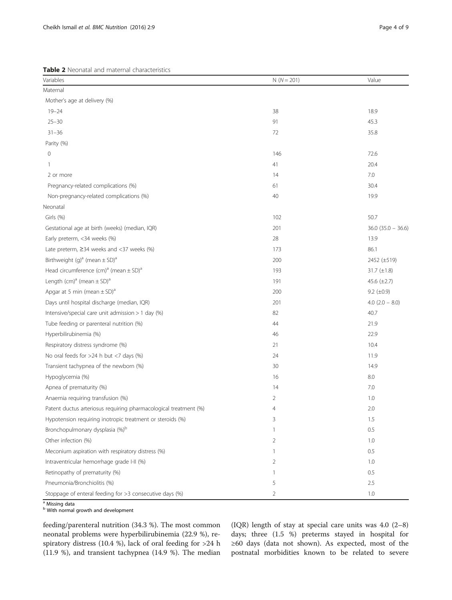<span id="page-3-0"></span>Table 2 Neonatal and maternal characteristics

| Variables                                                        | $N(N = 201)$   | Value                |
|------------------------------------------------------------------|----------------|----------------------|
| Maternal                                                         |                |                      |
| Mother's age at delivery (%)                                     |                |                      |
| $19 - 24$                                                        | 38             | 18.9                 |
| $25 - 30$                                                        | 91             | 45.3                 |
| $31 - 36$                                                        | 72             | 35.8                 |
| Parity (%)                                                       |                |                      |
| $\mathbf 0$                                                      | 146            | 72.6                 |
| 1                                                                | 41             | 20.4                 |
| 2 or more                                                        | 14             | 7.0                  |
| Pregnancy-related complications (%)                              | 61             | 30.4                 |
| Non-pregnancy-related complications (%)                          | 40             | 19.9                 |
| Neonatal                                                         |                |                      |
| Girls (%)                                                        | 102            | 50.7                 |
| Gestational age at birth (weeks) (median, IQR)                   | 201            | $36.0$ (35.0 - 36.6) |
| Early preterm, <34 weeks (%)                                     | 28             | 13.9                 |
| Late preterm, ≥34 weeks and <37 weeks (%)                        | 173            | 86.1                 |
| Birthweight (g) <sup>a</sup> (mean $\pm$ SD) <sup>a</sup>        | 200            | 2452 (±519)          |
| Head circumference $(cm)^a$ (mean $\pm$ SD) <sup>a</sup>         | 193            | $31.7 (\pm 1.8)$     |
| Length $(cm)^a$ (mean $\pm$ SD) <sup>a</sup>                     | 191            | 45.6 $(\pm 2.7)$     |
| Apgar at 5 min (mean $\pm$ SD) <sup>a</sup>                      | 200            | $9.2 \ (\pm 0.9)$    |
| Days until hospital discharge (median, IQR)                      | 201            | $4.0$ (2.0 - 8.0)    |
| Intensive/special care unit admission > 1 day (%)                | 82             | 40.7                 |
| Tube feeding or parenteral nutrition (%)                         | 44             | 21.9                 |
| Hyperbilirubinemia (%)                                           | 46             | 22.9                 |
| Respiratory distress syndrome (%)                                | 21             | 10.4                 |
| No oral feeds for >24 h but <7 days (%)                          | 24             | 11.9                 |
| Transient tachypnea of the newborn (%)                           | 30             | 14.9                 |
| Hypoglycemia (%)                                                 | 16             | 8.0                  |
| Apnea of prematurity (%)                                         | 14             | 7.0                  |
| Anaemia requiring transfusion (%)                                | 2              | 1.0                  |
| Patent ductus arteriosus requiring pharmacological treatment (%) | 4              | 2.0                  |
| Hypotension requiring inotropic treatment or steroids (%)        | 3              | 1.5                  |
| Bronchopulmonary dysplasia (%) <sup>b</sup>                      | 1              | 0.5                  |
| Other infection (%)                                              | $\overline{2}$ | 1.0                  |
| Meconium aspiration with respiratory distress (%)                | 1              | 0.5                  |
| Intraventricular hemorrhage grade I-II (%)                       | 2              | 1.0                  |
| Retinopathy of prematurity (%)                                   | 1              | 0.5                  |
| Pneumonia/Bronchiolitis (%)                                      | 5              | 2.5                  |
| Stoppage of enteral feeding for >3 consecutive days (%)          | 2              | 1.0                  |

<sup>a</sup> Missing data b With normal growth and development

feeding/parenteral nutrition (34.3 %). The most common neonatal problems were hyperbilirubinemia (22.9 %), respiratory distress (10.4 %), lack of oral feeding for >24 h (11.9 %), and transient tachypnea (14.9 %). The median

(IQR) length of stay at special care units was 4.0 (2–8) days; three (1.5 %) preterms stayed in hospital for ≥60 days (data not shown). As expected, most of the postnatal morbidities known to be related to severe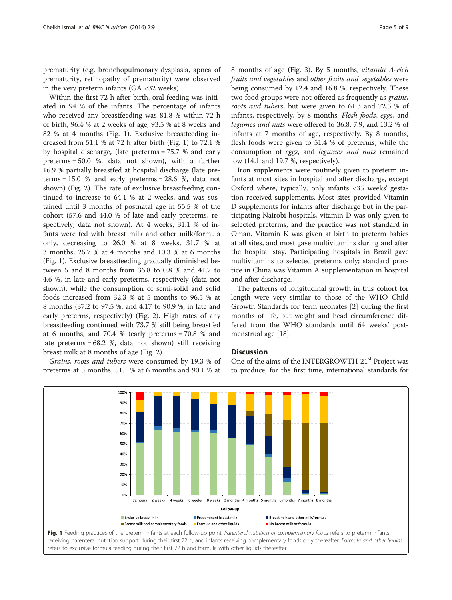prematurity (e.g. bronchopulmonary dysplasia, apnea of prematurity, retinopathy of prematurity) were observed in the very preterm infants  $(GA \langle 32 \rangle \text{ weeks})$ 

Within the first 72 h after birth, oral feeding was initiated in 94 % of the infants. The percentage of infants who received any breastfeeding was 81.8 % within 72 h of birth, 96.4 % at 2 weeks of age, 93.5 % at 8 weeks and 82 % at 4 months (Fig. 1). Exclusive breastfeeding increased from 51.1 % at 72 h after birth (Fig. 1) to 72.1 % by hospital discharge, (late preterms = 75.7 % and early preterms = 50.0 %, data not shown), with a further 16.9 % partially breastfed at hospital discharge (late preterms = 15.0 % and early preterms = 28.6 %, data not shown) (Fig. [2\)](#page-5-0). The rate of exclusive breastfeeding continued to increase to 64.1 % at 2 weeks, and was sustained until 3 months of postnatal age in 55.5 % of the cohort (57.6 and 44.0 % of late and early preterms, respectively; data not shown). At 4 weeks, 31.1 % of infants were fed with breast milk and other milk/formula only, decreasing to 26.0 % at 8 weeks, 31.7 % at 3 months, 26.7 % at 4 months and 10.3 % at 6 months (Fig. 1). Exclusive breastfeeding gradually diminished between 5 and 8 months from 36.8 to 0.8 % and 41.7 to 4.6 %, in late and early preterms, respectively (data not shown), while the consumption of semi-solid and solid foods increased from 32.3 % at 5 months to 96.5 % at 8 months (37.2 to 97.5 %, and 4.17 to 90.9 %, in late and early preterms, respectively) (Fig. [2\)](#page-5-0). High rates of any breastfeeding continued with 73.7 % still being breastfed at 6 months, and 70.4 % (early preterms = 70.8 % and late preterms = 68.2 %, data not shown) still receiving breast milk at 8 months of age (Fig. [2\)](#page-5-0).

Grains, roots and tubers were consumed by 19.3 % of preterms at 5 months, 51.1 % at 6 months and 90.1 % at

8 months of age (Fig. [3](#page-5-0)). By 5 months, vitamin A-rich fruits and vegetables and other fruits and vegetables were being consumed by 12.4 and 16.8 %, respectively. These two food groups were not offered as frequently as grains, roots and tubers, but were given to 61.3 and 72.5 % of infants, respectively, by 8 months. Flesh foods, eggs, and legumes and nuts were offered to 36.8, 7.9, and 13.2 % of infants at 7 months of age, respectively. By 8 months, flesh foods were given to 51.4 % of preterms, while the consumption of eggs, and legumes and nuts remained low (14.1 and 19.7 %, respectively).

Iron supplements were routinely given to preterm infants at most sites in hospital and after discharge, except Oxford where, typically, only infants <35 weeks' gestation received supplements. Most sites provided Vitamin D supplements for infants after discharge but in the participating Nairobi hospitals, vitamin D was only given to selected preterms, and the practice was not standard in Oman. Vitamin K was given at birth to preterm babies at all sites, and most gave multivitamins during and after the hospital stay. Participating hospitals in Brazil gave multivitamins to selected preterms only; standard practice in China was Vitamin A supplementation in hospital and after discharge.

The patterns of longitudinal growth in this cohort for length were very similar to those of the WHO Child Growth Standards for term neonates [\[2](#page-8-0)] during the first months of life, but weight and head circumference differed from the WHO standards until 64 weeks' postmenstrual age [\[18\]](#page-8-0).

#### **Discussion**

One of the aims of the INTERGROWTH-21<sup>st</sup> Project was to produce, for the first time, international standards for



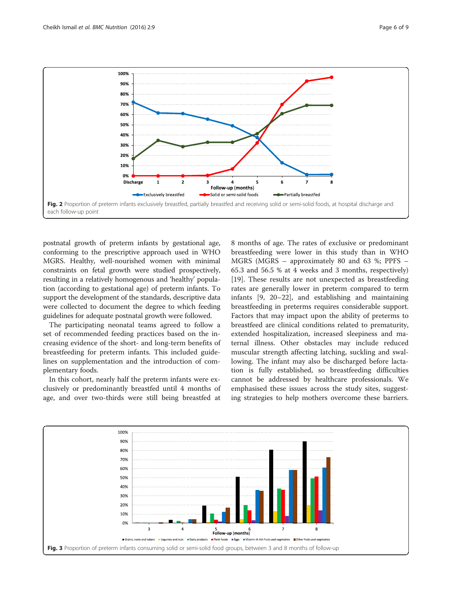<span id="page-5-0"></span>

postnatal growth of preterm infants by gestational age, conforming to the prescriptive approach used in WHO MGRS. Healthy, well-nourished women with minimal constraints on fetal growth were studied prospectively, resulting in a relatively homogenous and 'healthy' population (according to gestational age) of preterm infants. To support the development of the standards, descriptive data were collected to document the degree to which feeding guidelines for adequate postnatal growth were followed.

The participating neonatal teams agreed to follow a set of recommended feeding practices based on the increasing evidence of the short- and long-term benefits of breastfeeding for preterm infants. This included guidelines on supplementation and the introduction of complementary foods.

In this cohort, nearly half the preterm infants were exclusively or predominantly breastfed until 4 months of age, and over two-thirds were still being breastfed at 8 months of age. The rates of exclusive or predominant breastfeeding were lower in this study than in WHO MGRS (MGRS – approximately 80 and 63 %; PPFS – 65.3 and 56.5 % at 4 weeks and 3 months, respectively) [[19\]](#page-8-0). These results are not unexpected as breastfeeding rates are generally lower in preterm compared to term infants [\[9, 20](#page-8-0)–[22](#page-8-0)], and establishing and maintaining breastfeeding in preterms requires considerable support. Factors that may impact upon the ability of preterms to breastfeed are clinical conditions related to prematurity, extended hospitalization, increased sleepiness and maternal illness. Other obstacles may include reduced muscular strength affecting latching, suckling and swallowing. The infant may also be discharged before lactation is fully established, so breastfeeding difficulties cannot be addressed by healthcare professionals. We emphasised these issues across the study sites, suggesting strategies to help mothers overcome these barriers.

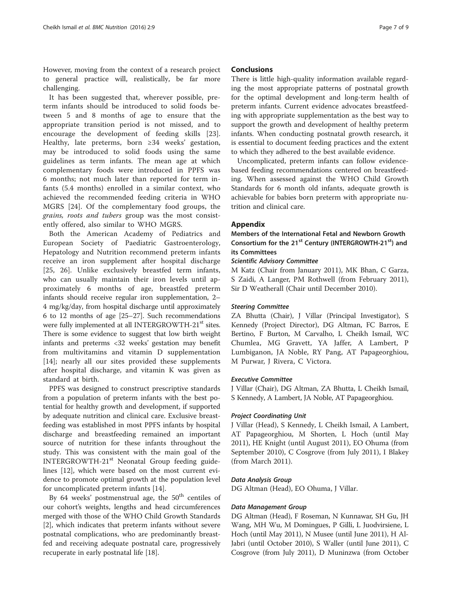However, moving from the context of a research project to general practice will, realistically, be far more challenging.

It has been suggested that, wherever possible, preterm infants should be introduced to solid foods between 5 and 8 months of age to ensure that the appropriate transition period is not missed, and to encourage the development of feeding skills [\[23](#page-8-0)]. Healthy, late preterms, born ≥34 weeks' gestation, may be introduced to solid foods using the same guidelines as term infants. The mean age at which complementary foods were introduced in PPFS was 6 months; not much later than reported for term infants (5.4 months) enrolled in a similar context, who achieved the recommended feeding criteria in WHO MGRS [[24\]](#page-8-0). Of the complementary food groups, the grains, roots and tubers group was the most consistently offered, also similar to WHO MGRS.

Both the American Academy of Pediatrics and European Society of Paediatric Gastroenterology, Hepatology and Nutrition recommend preterm infants receive an iron supplement after hospital discharge [[25, 26](#page-8-0)]. Unlike exclusively breastfed term infants, who can usually maintain their iron levels until approximately 6 months of age, breastfed preterm infants should receive regular iron supplementation, 2– 4 mg/kg/day, from hospital discharge until approximately 6 to 12 months of age [[25](#page-8-0)–[27\]](#page-8-0). Such recommendations were fully implemented at all INTERGROWTH-21<sup>st</sup> sites. There is some evidence to suggest that low birth weight infants and preterms <32 weeks' gestation may benefit from multivitamins and vitamin D supplementation [[14\]](#page-8-0); nearly all our sites provided these supplements after hospital discharge, and vitamin K was given as standard at birth.

PPFS was designed to construct prescriptive standards from a population of preterm infants with the best potential for healthy growth and development, if supported by adequate nutrition and clinical care. Exclusive breastfeeding was established in most PPFS infants by hospital discharge and breastfeeding remained an important source of nutrition for these infants throughout the study. This was consistent with the main goal of the INTERGROWTH-21<sup>st</sup> Neonatal Group feeding guidelines [\[12\]](#page-8-0), which were based on the most current evidence to promote optimal growth at the population level for uncomplicated preterm infants [\[14\]](#page-8-0).

By 64 weeks' postmenstrual age, the  $50<sup>th</sup>$  centiles of our cohort's weights, lengths and head circumferences merged with those of the WHO Child Growth Standards [[2\]](#page-8-0), which indicates that preterm infants without severe postnatal complications, who are predominantly breastfed and receiving adequate postnatal care, progressively recuperate in early postnatal life [[18\]](#page-8-0).

#### **Conclusions**

There is little high-quality information available regarding the most appropriate patterns of postnatal growth for the optimal development and long-term health of preterm infants. Current evidence advocates breastfeeding with appropriate supplementation as the best way to support the growth and development of healthy preterm infants. When conducting postnatal growth research, it is essential to document feeding practices and the extent to which they adhered to the best available evidence.

Uncomplicated, preterm infants can follow evidencebased feeding recommendations centered on breastfeeding. When assessed against the WHO Child Growth Standards for 6 month old infants, adequate growth is achievable for babies born preterm with appropriate nutrition and clinical care.

#### Appendix

Members of the International Fetal and Newborn Growth Consortium for the 21<sup>st</sup> Century (INTERGROWTH-21<sup>st</sup>) and its Committees

#### Scientific Advisory Committee

M Katz (Chair from January 2011), MK Bhan, C Garza, S Zaidi, A Langer, PM Rothwell (from February 2011), Sir D Weatherall (Chair until December 2010).

#### Steering Committee

ZA Bhutta (Chair), J Villar (Principal Investigator), S Kennedy (Project Director), DG Altman, FC Barros, E Bertino, F Burton, M Carvalho, L Cheikh Ismail, WC Chumlea, MG Gravett, YA Jaffer, A Lambert, P Lumbiganon, JA Noble, RY Pang, AT Papageorghiou, M Purwar, J Rivera, C Victora.

#### Executive Committee

J Villar (Chair), DG Altman, ZA Bhutta, L Cheikh Ismail, S Kennedy, A Lambert, JA Noble, AT Papageorghiou.

#### Project Coordinating Unit

J Villar (Head), S Kennedy, L Cheikh Ismail, A Lambert, AT Papageorghiou, M Shorten, L Hoch (until May 2011), HE Knight (until August 2011), EO Ohuma (from September 2010), C Cosgrove (from July 2011), I Blakey (from March 2011).

#### Data Analysis Group

DG Altman (Head), EO Ohuma, J Villar.

#### Data Management Group

DG Altman (Head), F Roseman, N Kunnawar, SH Gu, JH Wang, MH Wu, M Domingues, P Gilli, L Juodvirsiene, L Hoch (until May 2011), N Musee (until June 2011), H Al-Jabri (until October 2010), S Waller (until June 2011), C Cosgrove (from July 2011), D Muninzwa (from October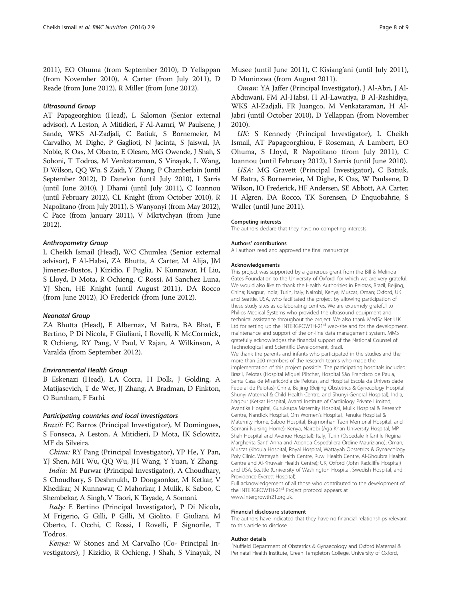2011), EO Ohuma (from September 2010), D Yellappan (from November 2010), A Carter (from July 2011), D Reade (from June 2012), R Miller (from June 2012).

#### Ultrasound Group

AT Papageorghiou (Head), L Salomon (Senior external advisor), A Leston, A Mitidieri, F Al-Aamri, W Paulsene, J Sande, WKS Al-Zadjali, C Batiuk, S Bornemeier, M Carvalho, M Dighe, P Gaglioti, N Jacinta, S Jaiswal, JA Noble, K Oas, M Oberto, E Olearo, MG Owende, J Shah, S Sohoni, T Todros, M Venkataraman, S Vinayak, L Wang, D Wilson, QQ Wu, S Zaidi, Y Zhang, P Chamberlain (until September 2012), D Danelon (until July 2010), I Sarris (until June 2010), J Dhami (until July 2011), C Ioannou (until February 2012), CL Knight (from October 2010), R Napolitano (from July 2011), S Wanyonyi (from May 2012), C Pace (from January 2011), V Mkrtychyan (from June 2012).

#### Anthropometry Group

L Cheikh Ismail (Head), WC Chumlea (Senior external advisor), F Al-Habsi, ZA Bhutta, A Carter, M Alija, JM Jimenez-Bustos, J Kizidio, F Puglia, N Kunnawar, H Liu, S Lloyd, D Mota, R Ochieng, C Rossi, M Sanchez Luna, YJ Shen, HE Knight (until August 2011), DA Rocco (from June 2012), IO Frederick (from June 2012).

#### Neonatal Group

ZA Bhutta (Head), E Albernaz, M Batra, BA Bhat, E Bertino, P Di Nicola, F Giuliani, I Rovelli, K McCormick, R Ochieng, RY Pang, V Paul, V Rajan, A Wilkinson, A Varalda (from September 2012).

#### Environmental Health Group

B Eskenazi (Head), LA Corra, H Dolk, J Golding, A Matijasevich, T de Wet, JJ Zhang, A Bradman, D Finkton, O Burnham, F Farhi.

#### Participating countries and local investigators

Brazil: FC Barros (Principal Investigator), M Domingues, S Fonseca, A Leston, A Mitidieri, D Mota, IK Sclowitz, MF da Silveira.

China: RY Pang (Principal Investigator), YP He, Y Pan, YJ Shen, MH Wu, QQ Wu, JH Wang, Y Yuan, Y Zhang.

India: M Purwar (Principal Investigator), A Choudhary, S Choudhary, S Deshmukh, D Dongaonkar, M Ketkar, V Khedikar, N Kunnawar, C Mahorkar, I Mulik, K Saboo, C Shembekar, A Singh, V Taori, K Tayade, A Somani.

Italy: E Bertino (Principal Investigator), P Di Nicola, M Frigerio, G Gilli, P Gilli, M Giolito, F Giuliani, M Oberto, L Occhi, C Rossi, I Rovelli, F Signorile, T Todros.

Kenya: W Stones and M Carvalho (Co- Principal Investigators), J Kizidio, R Ochieng, J Shah, S Vinayak, N

Musee (until June 2011), C Kisiang'ani (until July 2011), D Muninzwa (from August 2011).

Oman: YA Jaffer (Principal Investigator), J Al-Abri, J Al-Abduwani, FM Al-Habsi, H Al-Lawatiya, B Al-Rashidiya, WKS Al-Zadjali, FR Juangco, M Venkataraman, H Al-Jabri (until October 2010), D Yellappan (from November 2010).

UK: S Kennedy (Principal Investigator), L Cheikh Ismail, AT Papageorghiou, F Roseman, A Lambert, EO Ohuma, S Lloyd, R Napolitano (from July 2011), C Ioannou (until February 2012), I Sarris (until June 2010).

USA: MG Gravett (Principal Investigator), C Batiuk, M Batra, S Bornemeier, M Dighe, K Oas, W Paulsene, D Wilson, IO Frederick, HF Andersen, SE Abbott, AA Carter, H Algren, DA Rocco, TK Sorensen, D Enquobahrie, S Waller (until June 2011).

#### Competing interests

The authors declare that they have no competing interests.

#### Authors' contributions

All authors read and approved the final manuscript.

#### Acknowledgements

This project was supported by a generous grant from the Bill & Melinda Gates Foundation to the University of Oxford, for which we are very grateful. We would also like to thank the Health Authorities in Pelotas, Brazil; Beijing, China; Nagpur, India; Turin, Italy; Nairobi, Kenya; Muscat, Oman; Oxford, UK and Seattle, USA, who facilitated the project by allowing participation of these study sites as collaborating centres. We are extremely grateful to Philips Medical Systems who provided the ultrasound equipment and technical assistance throughout the project. We also thank MedSciNet U.K. Ltd for setting up the INTERGROWTH-21<sup>st</sup> web-site and for the development, maintenance and support of the on-line data management system. MMS gratefully acknowledges the financial support of the National Counsel of Technological and Scientific Development, Brazil. We thank the parents and infants who participated in the studies and the more than 200 members of the research teams who made the implementation of this project possible. The participating hospitals included: Brazil, Pelotas (Hospital Miguel Piltcher, Hospital São Francisco de Paula, Santa Casa de Misericórdia de Pelotas, and Hospital Escola da Universidade Federal de Pelotas); China, Beijing (Beijing Obstetrics & Gynecology Hospital, Shunyi Maternal & Child Health Centre, and Shunyi General Hospital); India, Nagpur (Ketkar Hospital, Avanti Institute of Cardiology Private Limited, Avantika Hospital, Gurukrupa Maternity Hospital, Mulik Hospital & Research Centre, Nandlok Hospital, Om Women's Hospital, Renuka Hospital & Maternity Home, Saboo Hospital, Brajmonhan Taori Memorial Hospital, and Somani Nursing Home); Kenya, Nairobi (Aga Khan University Hospital, MP Shah Hospital and Avenue Hospital); Italy, Turin (Ospedale Infantile Regina Margherita Sant' Anna and Azienda Ospedaliera Ordine Mauriziano); Oman, Muscat (Khoula Hospital, Royal Hospital, Wattayah Obstetrics & Gynaecology Poly Clinic, Wattayah Health Centre, Ruwi Health Centre, Al-Ghoubra Health Centre and Al-Khuwair Health Centre); UK, Oxford (John Radcliffe Hospital) and USA, Seattle (University of Washington Hospital, Swedish Hospital, and Providence Everett Hospital).

Full acknowledgement of all those who contributed to the development of the INTERGROWTH-21<sup>st</sup> Project protocol appears at [www.intergrowth21.org.uk.](http://www.intergrowth21.org.uk/)

#### Financial disclosure statement

The authors have indicated that they have no financial relationships relevant to this article to disclose.

#### Author details

<sup>1</sup>Nuffield Department of Obstetrics & Gynaecology and Oxford Maternal & Perinatal Health Institute, Green Templeton College, University of Oxford,